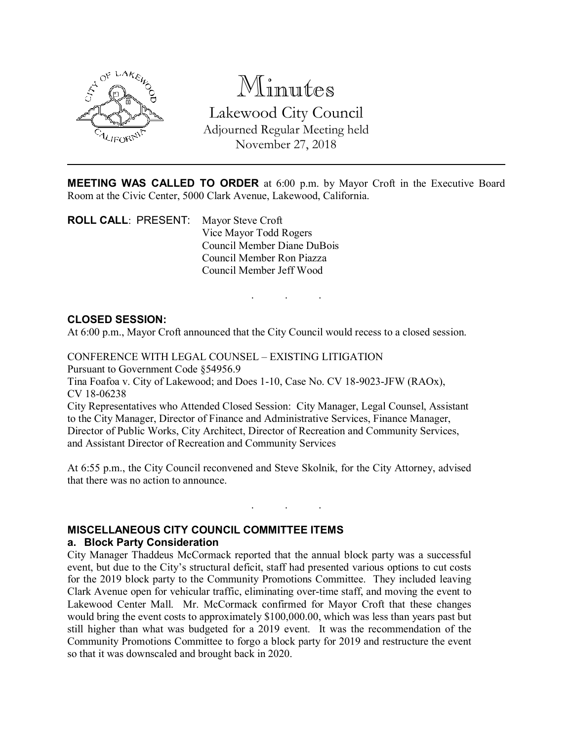

Minutes Lakewood City Council Adjourned Regular Meeting held November 27, 2018

MEETING WAS CALLED TO ORDER at 6:00 p.m. by Mayor Croft in the Executive Board Room at the Civic Center, 5000 Clark Avenue, Lakewood, California.

ROLL CALL: PRESENT: Mayor Steve Croft Vice Mayor Todd Rogers Council Member Diane DuBois Council Member Ron Piazza Council Member Jeff Wood

# . . .

#### CLOSED SESSION:

At 6:00 p.m., Mayor Croft announced that the City Council would recess to a closed session.

CONFERENCE WITH LEGAL COUNSEL – EXISTING LITIGATION

Pursuant to Government Code §54956.9

Tina Foafoa v. City of Lakewood; and Does 1-10, Case No. CV 18-9023-JFW (RAOx), CV 18-06238

City Representatives who Attended Closed Session: City Manager, Legal Counsel, Assistant to the City Manager, Director of Finance and Administrative Services, Finance Manager, Director of Public Works, City Architect, Director of Recreation and Community Services, and Assistant Director of Recreation and Community Services

At 6:55 p.m., the City Council reconvened and Steve Skolnik, for the City Attorney, advised that there was no action to announce.

. . .

#### MISCELLANEOUS CITY COUNCIL COMMITTEE ITEMS a. Block Party Consideration

City Manager Thaddeus McCormack reported that the annual block party was a successful event, but due to the City's structural deficit, staff had presented various options to cut costs for the 2019 block party to the Community Promotions Committee. They included leaving Clark Avenue open for vehicular traffic, eliminating over-time staff, and moving the event to Lakewood Center Mall. Mr. McCormack confirmed for Mayor Croft that these changes would bring the event costs to approximately \$100,000.00, which was less than years past but still higher than what was budgeted for a 2019 event. It was the recommendation of the Community Promotions Committee to forgo a block party for 2019 and restructure the event so that it was downscaled and brought back in 2020.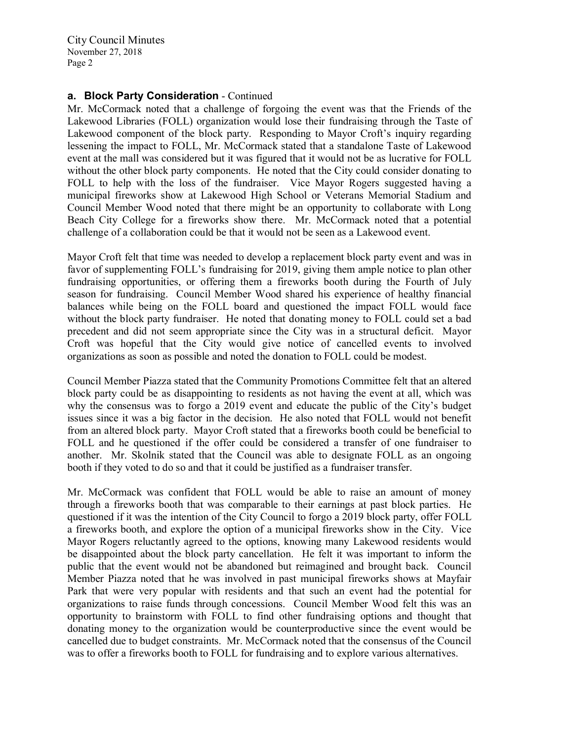### a. Block Party Consideration - Continued

Mr. McCormack noted that a challenge of forgoing the event was that the Friends of the Lakewood Libraries (FOLL) organization would lose their fundraising through the Taste of Lakewood component of the block party. Responding to Mayor Croft's inquiry regarding lessening the impact to FOLL, Mr. McCormack stated that a standalone Taste of Lakewood event at the mall was considered but it was figured that it would not be as lucrative for FOLL without the other block party components. He noted that the City could consider donating to FOLL to help with the loss of the fundraiser. Vice Mayor Rogers suggested having a municipal fireworks show at Lakewood High School or Veterans Memorial Stadium and Council Member Wood noted that there might be an opportunity to collaborate with Long Beach City College for a fireworks show there. Mr. McCormack noted that a potential challenge of a collaboration could be that it would not be seen as a Lakewood event.

Mayor Croft felt that time was needed to develop a replacement block party event and was in favor of supplementing FOLL's fundraising for 2019, giving them ample notice to plan other fundraising opportunities, or offering them a fireworks booth during the Fourth of July season for fundraising. Council Member Wood shared his experience of healthy financial balances while being on the FOLL board and questioned the impact FOLL would face without the block party fundraiser. He noted that donating money to FOLL could set a bad precedent and did not seem appropriate since the City was in a structural deficit. Mayor Croft was hopeful that the City would give notice of cancelled events to involved organizations as soon as possible and noted the donation to FOLL could be modest.

Council Member Piazza stated that the Community Promotions Committee felt that an altered block party could be as disappointing to residents as not having the event at all, which was why the consensus was to forgo a 2019 event and educate the public of the City's budget issues since it was a big factor in the decision. He also noted that FOLL would not benefit from an altered block party. Mayor Croft stated that a fireworks booth could be beneficial to FOLL and he questioned if the offer could be considered a transfer of one fundraiser to another. Mr. Skolnik stated that the Council was able to designate FOLL as an ongoing booth if they voted to do so and that it could be justified as a fundraiser transfer.

Mr. McCormack was confident that FOLL would be able to raise an amount of money through a fireworks booth that was comparable to their earnings at past block parties. He questioned if it was the intention of the City Council to forgo a 2019 block party, offer FOLL a fireworks booth, and explore the option of a municipal fireworks show in the City. Vice Mayor Rogers reluctantly agreed to the options, knowing many Lakewood residents would be disappointed about the block party cancellation. He felt it was important to inform the public that the event would not be abandoned but reimagined and brought back. Council Member Piazza noted that he was involved in past municipal fireworks shows at Mayfair Park that were very popular with residents and that such an event had the potential for organizations to raise funds through concessions. Council Member Wood felt this was an opportunity to brainstorm with FOLL to find other fundraising options and thought that donating money to the organization would be counterproductive since the event would be cancelled due to budget constraints. Mr. McCormack noted that the consensus of the Council was to offer a fireworks booth to FOLL for fundraising and to explore various alternatives.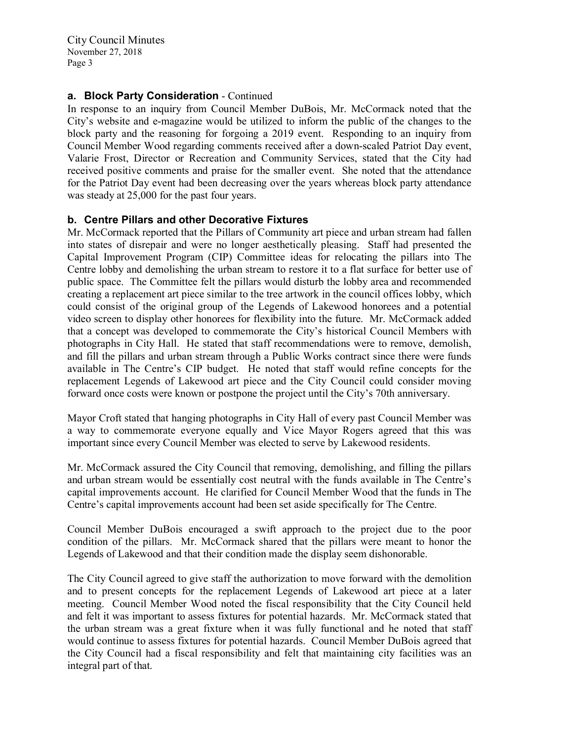### a. Block Party Consideration - Continued

In response to an inquiry from Council Member DuBois, Mr. McCormack noted that the City's website and e-magazine would be utilized to inform the public of the changes to the block party and the reasoning for forgoing a 2019 event. Responding to an inquiry from Council Member Wood regarding comments received after a down-scaled Patriot Day event, Valarie Frost, Director or Recreation and Community Services, stated that the City had received positive comments and praise for the smaller event. She noted that the attendance for the Patriot Day event had been decreasing over the years whereas block party attendance was steady at 25,000 for the past four years.

#### b. Centre Pillars and other Decorative Fixtures

Mr. McCormack reported that the Pillars of Community art piece and urban stream had fallen into states of disrepair and were no longer aesthetically pleasing. Staff had presented the Capital Improvement Program (CIP) Committee ideas for relocating the pillars into The Centre lobby and demolishing the urban stream to restore it to a flat surface for better use of public space. The Committee felt the pillars would disturb the lobby area and recommended creating a replacement art piece similar to the tree artwork in the council offices lobby, which could consist of the original group of the Legends of Lakewood honorees and a potential video screen to display other honorees for flexibility into the future. Mr. McCormack added that a concept was developed to commemorate the City's historical Council Members with photographs in City Hall. He stated that staff recommendations were to remove, demolish, and fill the pillars and urban stream through a Public Works contract since there were funds available in The Centre's CIP budget. He noted that staff would refine concepts for the replacement Legends of Lakewood art piece and the City Council could consider moving forward once costs were known or postpone the project until the City's 70th anniversary.

Mayor Croft stated that hanging photographs in City Hall of every past Council Member was a way to commemorate everyone equally and Vice Mayor Rogers agreed that this was important since every Council Member was elected to serve by Lakewood residents.

Mr. McCormack assured the City Council that removing, demolishing, and filling the pillars and urban stream would be essentially cost neutral with the funds available in The Centre's capital improvements account. He clarified for Council Member Wood that the funds in The Centre's capital improvements account had been set aside specifically for The Centre.

Council Member DuBois encouraged a swift approach to the project due to the poor condition of the pillars. Mr. McCormack shared that the pillars were meant to honor the Legends of Lakewood and that their condition made the display seem dishonorable.

The City Council agreed to give staff the authorization to move forward with the demolition and to present concepts for the replacement Legends of Lakewood art piece at a later meeting. Council Member Wood noted the fiscal responsibility that the City Council held and felt it was important to assess fixtures for potential hazards. Mr. McCormack stated that the urban stream was a great fixture when it was fully functional and he noted that staff would continue to assess fixtures for potential hazards. Council Member DuBois agreed that the City Council had a fiscal responsibility and felt that maintaining city facilities was an integral part of that.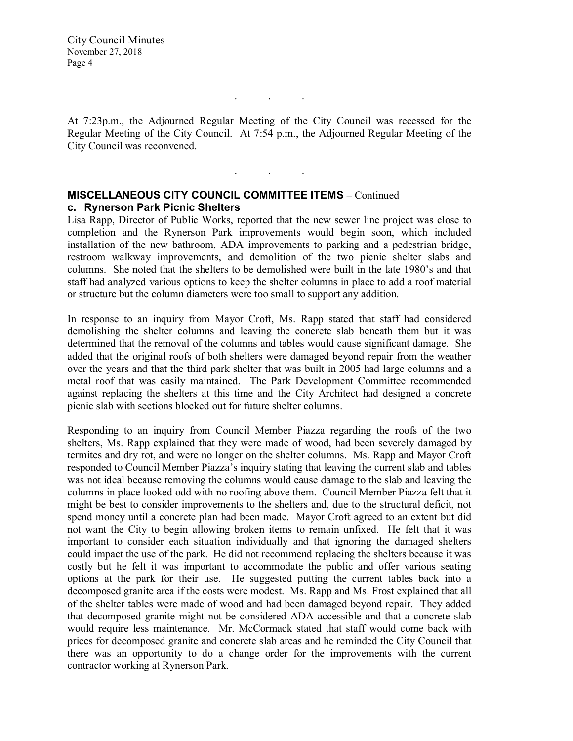At 7:23p.m., the Adjourned Regular Meeting of the City Council was recessed for the Regular Meeting of the City Council. At 7:54 p.m., the Adjourned Regular Meeting of the City Council was reconvened.

. . .

. . .

## MISCELLANEOUS CITY COUNCIL COMMITTEE ITEMS – Continued c. Rynerson Park Picnic Shelters

Lisa Rapp, Director of Public Works, reported that the new sewer line project was close to completion and the Rynerson Park improvements would begin soon, which included installation of the new bathroom, ADA improvements to parking and a pedestrian bridge, restroom walkway improvements, and demolition of the two picnic shelter slabs and columns. She noted that the shelters to be demolished were built in the late 1980's and that staff had analyzed various options to keep the shelter columns in place to add a roof material or structure but the column diameters were too small to support any addition.

In response to an inquiry from Mayor Croft, Ms. Rapp stated that staff had considered demolishing the shelter columns and leaving the concrete slab beneath them but it was determined that the removal of the columns and tables would cause significant damage. She added that the original roofs of both shelters were damaged beyond repair from the weather over the years and that the third park shelter that was built in 2005 had large columns and a metal roof that was easily maintained. The Park Development Committee recommended against replacing the shelters at this time and the City Architect had designed a concrete picnic slab with sections blocked out for future shelter columns.

Responding to an inquiry from Council Member Piazza regarding the roofs of the two shelters, Ms. Rapp explained that they were made of wood, had been severely damaged by termites and dry rot, and were no longer on the shelter columns. Ms. Rapp and Mayor Croft responded to Council Member Piazza's inquiry stating that leaving the current slab and tables was not ideal because removing the columns would cause damage to the slab and leaving the columns in place looked odd with no roofing above them. Council Member Piazza felt that it might be best to consider improvements to the shelters and, due to the structural deficit, not spend money until a concrete plan had been made. Mayor Croft agreed to an extent but did not want the City to begin allowing broken items to remain unfixed. He felt that it was important to consider each situation individually and that ignoring the damaged shelters could impact the use of the park. He did not recommend replacing the shelters because it was costly but he felt it was important to accommodate the public and offer various seating options at the park for their use. He suggested putting the current tables back into a decomposed granite area if the costs were modest. Ms. Rapp and Ms. Frost explained that all of the shelter tables were made of wood and had been damaged beyond repair. They added that decomposed granite might not be considered ADA accessible and that a concrete slab would require less maintenance. Mr. McCormack stated that staff would come back with prices for decomposed granite and concrete slab areas and he reminded the City Council that there was an opportunity to do a change order for the improvements with the current contractor working at Rynerson Park.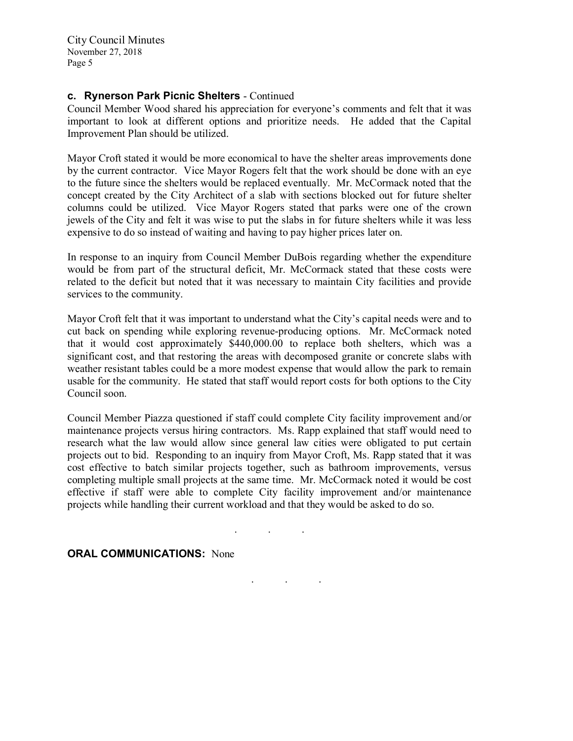#### c. Rynerson Park Picnic Shelters - Continued

Council Member Wood shared his appreciation for everyone's comments and felt that it was important to look at different options and prioritize needs. He added that the Capital Improvement Plan should be utilized.

Mayor Croft stated it would be more economical to have the shelter areas improvements done by the current contractor. Vice Mayor Rogers felt that the work should be done with an eye to the future since the shelters would be replaced eventually. Mr. McCormack noted that the concept created by the City Architect of a slab with sections blocked out for future shelter columns could be utilized. Vice Mayor Rogers stated that parks were one of the crown jewels of the City and felt it was wise to put the slabs in for future shelters while it was less expensive to do so instead of waiting and having to pay higher prices later on.

In response to an inquiry from Council Member DuBois regarding whether the expenditure would be from part of the structural deficit, Mr. McCormack stated that these costs were related to the deficit but noted that it was necessary to maintain City facilities and provide services to the community.

Mayor Croft felt that it was important to understand what the City's capital needs were and to cut back on spending while exploring revenue-producing options. Mr. McCormack noted that it would cost approximately \$440,000.00 to replace both shelters, which was a significant cost, and that restoring the areas with decomposed granite or concrete slabs with weather resistant tables could be a more modest expense that would allow the park to remain usable for the community. He stated that staff would report costs for both options to the City Council soon.

Council Member Piazza questioned if staff could complete City facility improvement and/or maintenance projects versus hiring contractors. Ms. Rapp explained that staff would need to research what the law would allow since general law cities were obligated to put certain projects out to bid. Responding to an inquiry from Mayor Croft, Ms. Rapp stated that it was cost effective to batch similar projects together, such as bathroom improvements, versus completing multiple small projects at the same time. Mr. McCormack noted it would be cost effective if staff were able to complete City facility improvement and/or maintenance projects while handling their current workload and that they would be asked to do so.

. . .

. . .

#### **ORAL COMMUNICATIONS: None**